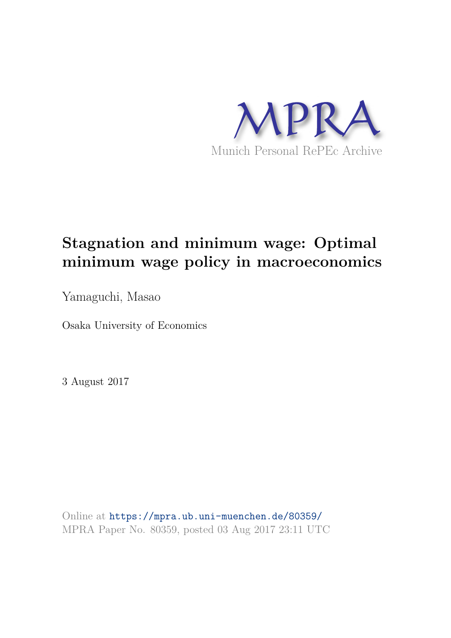

# **Stagnation and minimum wage: Optimal minimum wage policy in macroeconomics**

Yamaguchi, Masao

Osaka University of Economics

3 August 2017

Online at https://mpra.ub.uni-muenchen.de/80359/ MPRA Paper No. 80359, posted 03 Aug 2017 23:11 UTC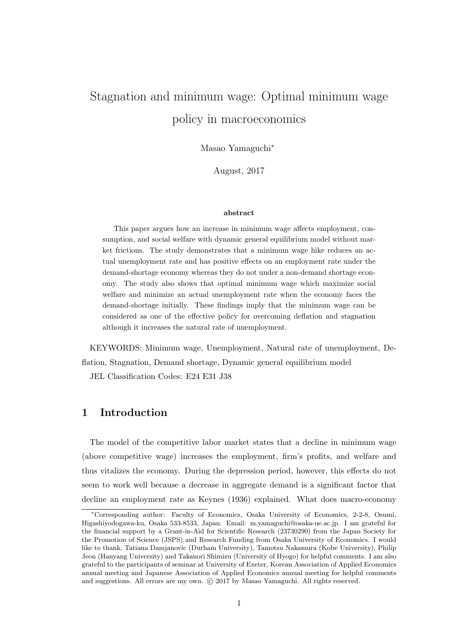# Stagnation and minimum wage: Optimal minimum wage policy in macroeconomics

Masao Yamaguchi<sup>∗</sup>

August, 2017

#### abstract

This paper argues how an increase in minimum wage affects employment, consumption, and social welfare with dynamic general equilibrium model without market frictions. The study demonstrates that a minimum wage hike reduces an actual unemployment rate and has positive effects on an employment rate under the demand-shortage economy whereas they do not under a non-demand shortage economy. The study also shows that optimal minimum wage which maximize social welfare and minimize an actual unemployment rate when the economy faces the demand-shortage initially. These findings imply that the minimum wage can be considered as one of the effective policy for overcoming deflation and stagnation although it increases the natural rate of unemployment.

KEYWORDS: Minimum wage, Unemployment, Natural rate of unemployment, Deflation, Stagnation, Demand shortage, Dynamic general equilibrium model JEL Classification Codes: E24 E31 J38

## 1 Introduction

The model of the competitive labor market states that a decline in minimum wage (above competitive wage) increases the employment, firm's profits, and welfare and thus vitalizes the economy. During the depression period, however, this effects do not seem to work well because a decrease in aggregate demand is a significant factor that decline an employment rate as Keynes (1936) explained. What does macro-economy

<sup>∗</sup>Corresponding author: Faculty of Economics, Osaka University of Economics, 2-2-8, Osumi, Higashiyodogawa-ku, Osaka 533-8533, Japan. Email: m.yamaguchi@osaka-ue.ac.jp. I am grateful for the financial support by a Grant-in-Aid for Scientific Research (23730290) from the Japan Society for the Promotion of Science (JSPS) and Research Funding from Osaka University of Economics. I would like to thank, Tatiana Damjanovic (Durham University), Tamotsu Nakamura (Kobe University), Philip Jeon (Hanyang University) and Takanori Shimizu (University of Hyogo) for helpful comments. I am also grateful to the participants of seminar at University of Exeter, Korean Association of Applied Economics annual meeting and Japanese Association of Applied Economics annual meeting for helpful comments and suggestions. All errors are my own.  $\odot$  2017 by Masao Yamaguchi. All rights reserved.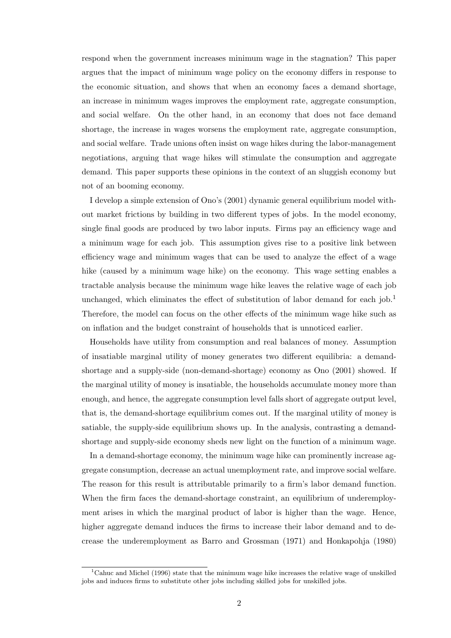respond when the government increases minimum wage in the stagnation? This paper argues that the impact of minimum wage policy on the economy differs in response to the economic situation, and shows that when an economy faces a demand shortage, an increase in minimum wages improves the employment rate, aggregate consumption, and social welfare. On the other hand, in an economy that does not face demand shortage, the increase in wages worsens the employment rate, aggregate consumption, and social welfare. Trade unions often insist on wage hikes during the labor-management negotiations, arguing that wage hikes will stimulate the consumption and aggregate demand. This paper supports these opinions in the context of an sluggish economy but not of an booming economy.

I develop a simple extension of Ono's (2001) dynamic general equilibrium model without market frictions by building in two different types of jobs. In the model economy, single final goods are produced by two labor inputs. Firms pay an efficiency wage and a minimum wage for each job. This assumption gives rise to a positive link between efficiency wage and minimum wages that can be used to analyze the effect of a wage hike (caused by a minimum wage hike) on the economy. This wage setting enables a tractable analysis because the minimum wage hike leaves the relative wage of each job unchanged, which eliminates the effect of substitution of labor demand for each  $j\omega$ .<sup>1</sup> Therefore, the model can focus on the other effects of the minimum wage hike such as on inflation and the budget constraint of households that is unnoticed earlier.

Households have utility from consumption and real balances of money. Assumption of insatiable marginal utility of money generates two different equilibria: a demandshortage and a supply-side (non-demand-shortage) economy as Ono (2001) showed. If the marginal utility of money is insatiable, the households accumulate money more than enough, and hence, the aggregate consumption level falls short of aggregate output level, that is, the demand-shortage equilibrium comes out. If the marginal utility of money is satiable, the supply-side equilibrium shows up. In the analysis, contrasting a demandshortage and supply-side economy sheds new light on the function of a minimum wage.

In a demand-shortage economy, the minimum wage hike can prominently increase aggregate consumption, decrease an actual unemployment rate, and improve social welfare. The reason for this result is attributable primarily to a firm's labor demand function. When the firm faces the demand-shortage constraint, an equilibrium of underemployment arises in which the marginal product of labor is higher than the wage. Hence, higher aggregate demand induces the firms to increase their labor demand and to decrease the underemployment as Barro and Grossman (1971) and Honkapohja (1980)

<sup>&</sup>lt;sup>1</sup>Cahuc and Michel (1996) state that the minimum wage hike increases the relative wage of unskilled jobs and induces firms to substitute other jobs including skilled jobs for unskilled jobs.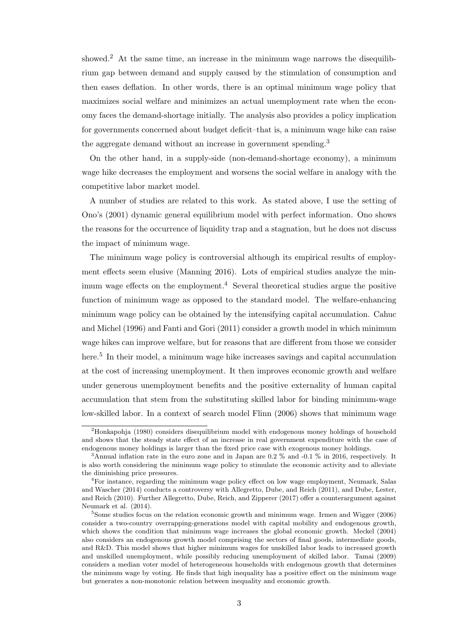showed.<sup>2</sup> At the same time, an increase in the minimum wage narrows the disequilibrium gap between demand and supply caused by the stimulation of consumption and then eases deflation. In other words, there is an optimal minimum wage policy that maximizes social welfare and minimizes an actual unemployment rate when the economy faces the demand-shortage initially. The analysis also provides a policy implication for governments concerned about budget deficit–that is, a minimum wage hike can raise the aggregate demand without an increase in government spending.<sup>3</sup>

On the other hand, in a supply-side (non-demand-shortage economy), a minimum wage hike decreases the employment and worsens the social welfare in analogy with the competitive labor market model.

A number of studies are related to this work. As stated above, I use the setting of Ono's (2001) dynamic general equilibrium model with perfect information. Ono shows the reasons for the occurrence of liquidity trap and a stagnation, but he does not discuss the impact of minimum wage.

The minimum wage policy is controversial although its empirical results of employment effects seem elusive (Manning 2016). Lots of empirical studies analyze the minimum wage effects on the employment.<sup>4</sup> Several theoretical studies argue the positive function of minimum wage as opposed to the standard model. The welfare-enhancing minimum wage policy can be obtained by the intensifying capital accumulation. Cahuc and Michel (1996) and Fanti and Gori (2011) consider a growth model in which minimum wage hikes can improve welfare, but for reasons that are different from those we consider here.<sup>5</sup> In their model, a minimum wage hike increases savings and capital accumulation at the cost of increasing unemployment. It then improves economic growth and welfare under generous unemployment benefits and the positive externality of human capital accumulation that stem from the substituting skilled labor for binding minimum-wage low-skilled labor. In a context of search model Flinn (2006) shows that minimum wage

<sup>2</sup>Honkapohja (1980) considers disequilibrium model with endogenous money holdings of household and shows that the steady state effect of an increase in real government expenditure with the case of endogenous money holdings is larger than the fixed price case with exogenous money holdings.

<sup>&</sup>lt;sup>3</sup>Annual inflation rate in the euro zone and in Japan are 0.2  $\%$  and -0.1  $\%$  in 2016, respectively. It is also worth considering the minimum wage policy to stimulate the economic activity and to alleviate the diminishing price pressures.

<sup>4</sup>For instance, regarding the minimum wage policy effect on low wage employment, Neumark, Salas and Wascher (2014) conducts a controversy with Allegretto, Dube, and Reich (2011), and Dube, Lester, and Reich (2010). Further Allegretto, Dube, Reich, and Zipperer (2017) offer a counterargument against Neumark et al. (2014).

 $5$ Some studies focus on the relation economic growth and minimum wage. Irmen and Wigger  $(2006)$ consider a two-country overrapping-generations model with capital mobility and endogenous growth, which shows the condition that minimum wage increases the global economic growth. Meckel (2004) also considers an endogenous growth model comprising the sectors of final goods, intermediate goods, and R&D. This model shows that higher minimum wages for unskilled labor leads to increased growth and unskilled unemployment, while possibly reducing unemployment of skilled labor. Tamai (2009) considers a median voter model of heterogeneous households with endogenous growth that determines the minimum wage by voting. He finds that high inequality has a positive effect on the minimum wage but generates a non-monotonic relation between inequality and economic growth.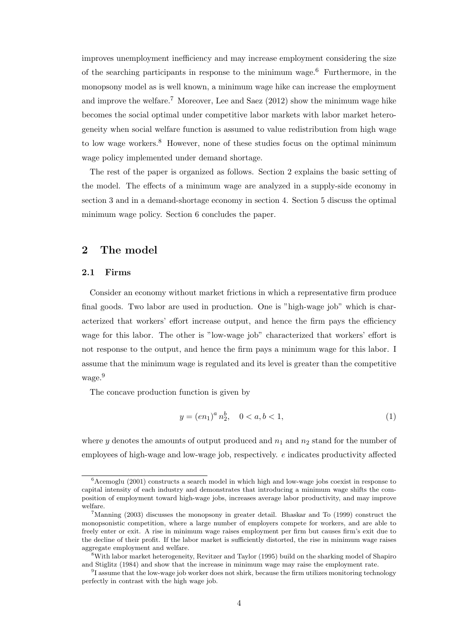improves unemployment inefficiency and may increase employment considering the size of the searching participants in response to the minimum wage.<sup>6</sup> Furthermore, in the monopsony model as is well known, a minimum wage hike can increase the employment and improve the welfare.<sup>7</sup> Moreover, Lee and Saez  $(2012)$  show the minimum wage hike becomes the social optimal under competitive labor markets with labor market heterogeneity when social welfare function is assumed to value redistribution from high wage to low wage workers.<sup>8</sup> However, none of these studies focus on the optimal minimum wage policy implemented under demand shortage.

The rest of the paper is organized as follows. Section 2 explains the basic setting of the model. The effects of a minimum wage are analyzed in a supply-side economy in section 3 and in a demand-shortage economy in section 4. Section 5 discuss the optimal minimum wage policy. Section 6 concludes the paper.

## 2 The model

## 2.1 Firms

Consider an economy without market frictions in which a representative firm produce final goods. Two labor are used in production. One is "high-wage job" which is characterized that workers' effort increase output, and hence the firm pays the efficiency wage for this labor. The other is "low-wage job" characterized that workers' effort is not response to the output, and hence the firm pays a minimum wage for this labor. I assume that the minimum wage is regulated and its level is greater than the competitive wage.<sup>9</sup>

The concave production function is given by

$$
y = (en_1)^a n_2^b, \quad 0 < a, b < 1,
$$
\n(1)

where y denotes the amounts of output produced and  $n_1$  and  $n_2$  stand for the number of employees of high-wage and low-wage job, respectively. e indicates productivity affected

 $6$ Acemoglu (2001) constructs a search model in which high and low-wage jobs coexist in response to capital intensity of each industry and demonstrates that introducing a minimum wage shifts the composition of employment toward high-wage jobs, increases average labor productivity, and may improve welfare.

 $7$ Manning (2003) discusses the monopsony in greater detail. Bhaskar and To (1999) construct the monopsonistic competition, where a large number of employers compete for workers, and are able to freely enter or exit. A rise in minimum wage raises employment per firm but causes firm's exit due to the decline of their profit. If the labor market is sufficiently distorted, the rise in minimum wage raises aggregate employment and welfare.

 $8$ With labor market heterogeneity, Revitzer and Taylor (1995) build on the sharking model of Shapiro and Stiglitz (1984) and show that the increase in minimum wage may raise the employment rate.

<sup>&</sup>lt;sup>9</sup>I assume that the low-wage job worker does not shirk, because the firm utilizes monitoring technology perfectly in contrast with the high wage job.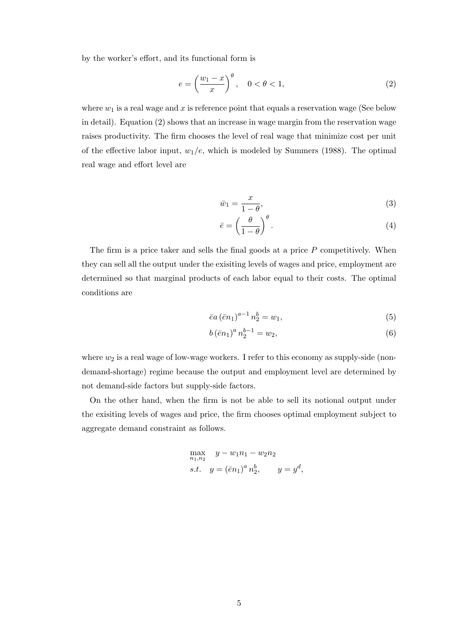by the worker's effort, and its functional form is

$$
e = \left(\frac{w_1 - x}{x}\right)^{\theta}, \quad 0 < \theta < 1,\tag{2}
$$

where  $w_1$  is a real wage and x is reference point that equals a reservation wage (See below in detail). Equation (2) shows that an increase in wage margin from the reservation wage raises productivity. The firm chooses the level of real wage that minimize cost per unit of the effective labor input,  $w_1/e$ , which is modeled by Summers (1988). The optimal real wage and effort level are

$$
\bar{w}_1 = \frac{x}{1 - \theta},\tag{3}
$$

$$
\bar{e} = \left(\frac{\theta}{1-\theta}\right)^{\theta}.\tag{4}
$$

The firm is a price taker and sells the final goods at a price  $P$  competitively. When they can sell all the output under the exisiting levels of wages and price, employment are determined so that marginal products of each labor equal to their costs. The optimal conditions are

$$
\bar{e}a\left(\bar{e}n_1\right)^{a-1}n_2^b = w_1,\tag{5}
$$

$$
b(\bar{e}n_1)^a n_2^{b-1} = w_2,
$$
\n(6)

where  $w_2$  is a real wage of low-wage workers. I refer to this economy as supply-side (nondemand-shortage) regime because the output and employment level are determined by not demand-side factors but supply-side factors.

On the other hand, when the firm is not be able to sell its notional output under the exisiting levels of wages and price, the firm chooses optimal employment subject to aggregate demand constraint as follows.

$$
\max_{n_1, n_2} y - w_1 n_1 - w_2 n_2
$$
  
s.t.  $y = (\bar{e} n_1)^a n_2^b$ ,  $y = y^d$ ,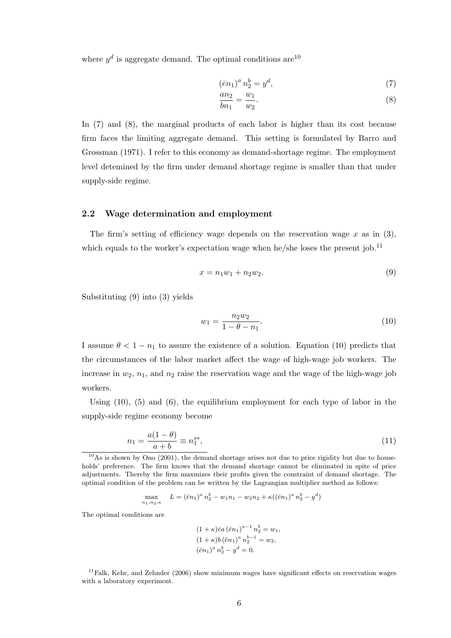where  $y^d$  is aggregate demand. The optimal conditions are  $10$ 

$$
(\bar{e}n_1)^a n_2^b = y^d,\t\t(7)
$$

$$
\frac{an_2}{bn_1} = \frac{w_1}{w_2}.\tag{8}
$$

In (7) and (8), the marginal products of each labor is higher than its cost because firm faces the limiting aggregate demand. This setting is formulated by Barro and Grossman (1971). I refer to this economy as demand-shortage regime. The employment level detemined by the firm under demand shortage regime is smaller than that under supply-side regime.

## 2.2 Wage determination and employment

The firm's setting of efficiency wage depends on the reservation wage  $x$  as in (3), which equals to the worker's expectation wage when he/she loses the present job.<sup>11</sup>

$$
x = n_1 w_1 + n_2 w_2. \t\t(9)
$$

Substituting (9) into (3) yields

$$
w_1 = \frac{n_2 w_2}{1 - \theta - n_1}.\tag{10}
$$

I assume  $\theta < 1 - n_1$  to assure the existence of a solution. Equation (10) predicts that the circumstances of the labor market affect the wage of high-wage job workers. The increase in  $w_2$ ,  $n_1$ , and  $n_2$  raise the reservation wage and the wage of the high-wage job workers.

Using  $(10)$ ,  $(5)$  and  $(6)$ , the equilibrium employment for each type of labor in the supply-side regime economy become

$$
n_1 = \frac{a(1 - \theta)}{a + b} \equiv n_1^{s*},\tag{11}
$$

$$
\max_{n_1, n_2, \kappa} \quad L = (\bar{e}n_1)^a n_2^b - w_1 n_1 - w_2 n_2 + \kappa ((\bar{e}n_1)^a n_2^b - y^d)
$$

The optimal conditions are

$$
(1 + \kappa)\bar{e}a(\bar{e}n_1)^{a-1}n_2^b = w_1,
$$
  
\n
$$
(1 + \kappa)b(\bar{e}n_1)^a n_2^{b-1} = w_2,
$$
  
\n
$$
(\bar{e}n_1)^a n_2^b - y^d = 0.
$$

 $11$ Falk, Kehr, and Zehnder (2006) show minimum wages have significant effects on reservation wages with a laboratory experiment.

 $10$ As is shown by Ono (2001), the demand shortage arises not due to price rigidity but due to households' preference. The firm knows that the demand shortage cannot be eliminated in spite of price adjustments. Thereby the firm maxmizes their profits given the constraint of demand shortage. The optimal condition of the problem can be written by the Lagrangian multiplier method as follows: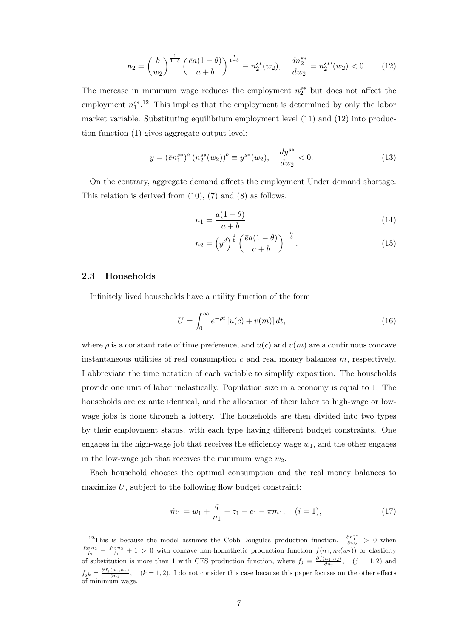$$
n_2 = \left(\frac{b}{w_2}\right)^{\frac{1}{1-b}} \left(\frac{\bar{e}a(1-\theta)}{a+b}\right)^{\frac{a}{1-b}} \equiv n_2^{s*}(w_2), \quad \frac{dn_2^{s*}}{dw_2} = n_2^{s*}(w_2) < 0. \tag{12}
$$

The increase in minimum wage reduces the employment  $n_2^{s*}$  but does not affect the employment  $n_1^{s*}$ .<sup>12</sup> This implies that the employment is determined by only the labor market variable. Substituting equilibrium employment level (11) and (12) into production function (1) gives aggregate output level:

$$
y = (\bar{e}n_1^{s*})^a (n_2^{s*}(w_2))^b \equiv y^{s*}(w_2), \quad \frac{dy^{s*}}{dw_2} < 0.
$$
 (13)

On the contrary, aggregate demand affects the employment Under demand shortage. This relation is derived from (10), (7) and (8) as follows.

$$
n_1 = \frac{a(1-\theta)}{a+b},\tag{14}
$$

$$
n_2 = \left(y^d\right)^{\frac{1}{b}} \left(\frac{\bar{e}a(1-\theta)}{a+b}\right)^{-\frac{a}{b}}.\tag{15}
$$

#### 2.3 Households

Infinitely lived households have a utility function of the form

$$
U = \int_0^\infty e^{-\rho t} \left[ u(c) + v(m) \right] dt,\tag{16}
$$

where  $\rho$  is a constant rate of time preference, and  $u(c)$  and  $v(m)$  are a continuous concave instantaneous utilities of real consumption  $c$  and real money balances  $m$ , respectively. I abbreviate the time notation of each variable to simplify exposition. The households provide one unit of labor inelastically. Population size in a economy is equal to 1. The households are ex ante identical, and the allocation of their labor to high-wage or lowwage jobs is done through a lottery. The households are then divided into two types by their employment status, with each type having different budget constraints. One engages in the high-wage job that receives the efficiency wage  $w_1$ , and the other engages in the low-wage job that receives the minimum wage  $w_2$ .

Each household chooses the optimal consumption and the real money balances to maximize  $U$ , subject to the following flow budget constraint:

$$
\dot{m}_1 = w_1 + \frac{q}{n_1} - z_1 - c_1 - \pi m_1, \quad (i = 1), \tag{17}
$$

<sup>&</sup>lt;sup>12</sup>This is because the model assumes the Cobb-Dougulas production function.  $\frac{\partial n_1^{s*}}{\partial w_2} > 0$  when  $\frac{f_{22}n_2}{f_2} - \frac{f_{12}n_2}{f_1} + 1 > 0$  with concave non-homothetic production function  $f(n_1, n_2(w_2))$  or elasticity of substitution is more than 1 with CES production function, where  $f_j \equiv \frac{\partial f(n_1,n_2)}{\partial n_j}$ ,  $(j=1,2)$  and  $f_{jk} = \frac{\partial f_j(n_1,n_2)}{\partial n_j}$  $\frac{(n_1, n_2)}{\partial n_k}$ ,  $(k = 1, 2)$ . I do not consider this case because this paper focuses on the other effects of minimum wage.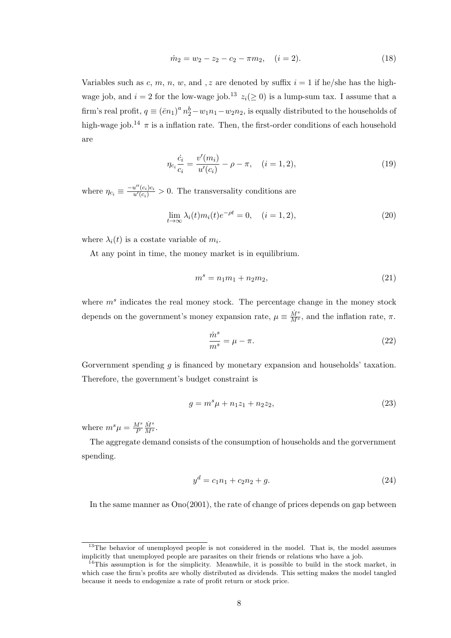$$
\dot{m}_2 = w_2 - z_2 - c_2 - \pi m_2, \quad (i = 2). \tag{18}
$$

Variables such as c, m, n, w, and, z are denoted by suffix  $i = 1$  if he/she has the highwage job, and  $i = 2$  for the low-wage job.<sup>13</sup>  $z_i(\geq 0)$  is a lump-sum tax. I assume that a firm's real profit,  $q \equiv (\bar{e}n_1)^a n_2^b - w_1 n_1 - w_2 n_2$ , is equally distributed to the households of high-wage job.<sup>14</sup>  $\pi$  is a inflation rate. Then, the first-order conditions of each household are

$$
\eta_{c_i} \frac{\dot{c}_i}{c_i} = \frac{v'(m_i)}{u'(c_i)} - \rho - \pi, \quad (i = 1, 2), \tag{19}
$$

where  $\eta_{c_i} \equiv \frac{-u''(c_i)c_i}{u'(c_i)} > 0$ . The transversality conditions are

$$
\lim_{t \to \infty} \lambda_i(t) m_i(t) e^{-\rho t} = 0, \quad (i = 1, 2), \tag{20}
$$

where  $\lambda_i(t)$  is a costate variable of  $m_i$ .

At any point in time, the money market is in equilibrium.

$$
m^s = n_1 m_1 + n_2 m_2, \t\t(21)
$$

where  $m<sup>s</sup>$  indicates the real money stock. The percentage change in the money stock depends on the government's money expansion rate,  $\mu \equiv \frac{\dot{M}^s}{M^s}$ , and the inflation rate,  $\pi$ .

$$
\frac{\dot{m}^s}{m^s} = \mu - \pi.
$$
\n(22)

Gorvernment spending g is financed by monetary expansion and households' taxation. Therefore, the government's budget constraint is

$$
g = m^s \mu + n_1 z_1 + n_2 z_2, \tag{23}
$$

where  $m^s \mu = \frac{M^s}{P}$ P  $\frac{\dot{M}^s}{M^s}$ .

The aggregate demand consists of the consumption of households and the gorvernment spending.

$$
y^d = c_1 n_1 + c_2 n_2 + g. \tag{24}
$$

In the same manner as Ono(2001), the rate of change of prices depends on gap between

 $13$ The behavior of unemployed people is not considered in the model. That is, the model assumes implicitly that unemployed people are parasites on their friends or relations who have a job.

<sup>&</sup>lt;sup>14</sup>This assumption is for the simplicity. Meanwhile, it is possible to build in the stock market, in which case the firm's profits are wholly distributed as dividends. This setting makes the model tangled because it needs to endogenize a rate of profit return or stock price.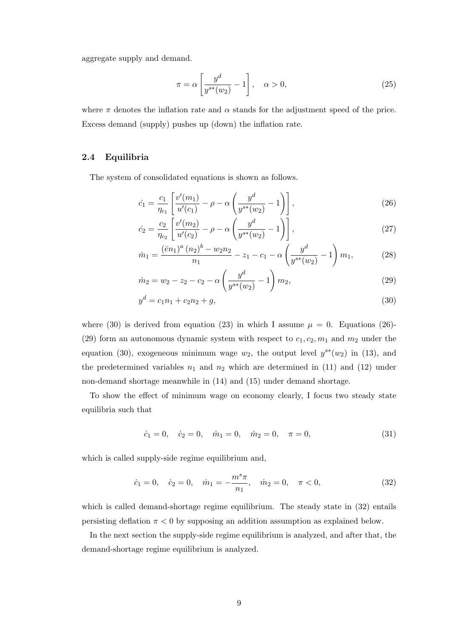aggregate supply and demand.

$$
\pi = \alpha \left[ \frac{y^d}{y^{s*}(w_2)} - 1 \right], \quad \alpha > 0,
$$
\n(25)

where  $\pi$  denotes the inflation rate and  $\alpha$  stands for the adjustment speed of the price. Excess demand (supply) pushes up (down) the inflation rate.

#### 2.4 Equilibria

The system of consolidated equations is shown as follows.

$$
\dot{c}_1 = \frac{c_1}{\eta_{c_1}} \left[ \frac{v'(m_1)}{u'(c_1)} - \rho - \alpha \left( \frac{y^d}{y^{s*}(w_2)} - 1 \right) \right],\tag{26}
$$

$$
\dot{c}_2 = \frac{c_2}{\eta_{c_2}} \left[ \frac{v'(m_2)}{u'(c_2)} - \rho - \alpha \left( \frac{y^d}{y^{s*}(w_2)} - 1 \right) \right],\tag{27}
$$

$$
\dot{m}_1 = \frac{(\bar{e}n_1)^a (n_2)^b - w_2 n_2}{n_1} - z_1 - c_1 - \alpha \left(\frac{y^d}{y^{s*}(w_2)} - 1\right) m_1,\tag{28}
$$

$$
\dot{m}_2 = w_2 - z_2 - c_2 - \alpha \left(\frac{y^d}{y^{s*}(w_2)} - 1\right) m_2,\tag{29}
$$

$$
y^d = c_1 n_1 + c_2 n_2 + g,\tag{30}
$$

where (30) is derived from equation (23) in which I assume  $\mu = 0$ . Equations (26)-(29) form an autonomous dynamic system with respect to  $c_1, c_2, m_1$  and  $m_2$  under the equation (30), exogeneous minimum wage  $w_2$ , the output level  $y^{s*}(w_2)$  in (13), and the predetermined variables  $n_1$  and  $n_2$  which are determined in (11) and (12) under non-demand shortage meanwhile in (14) and (15) under demand shortage.

To show the effect of minimum wage on economy clearly, I focus two steady state equilibria such that

$$
\dot{c}_1 = 0, \quad \dot{c}_2 = 0, \quad \dot{m}_1 = 0, \quad \dot{m}_2 = 0, \quad \pi = 0,
$$
\n(31)

which is called supply-side regime equilibrium and,

$$
\dot{c}_1 = 0, \quad \dot{c}_2 = 0, \quad \dot{m}_1 = -\frac{m^s \pi}{n_1}, \quad \dot{m}_2 = 0, \quad \pi < 0,
$$
\n
$$
\tag{32}
$$

which is called demand-shortage regime equilibrium. The steady state in (32) entails persisting deflation  $\pi < 0$  by supposing an addition assumption as explained below.

In the next section the supply-side regime equilibrium is analyzed, and after that, the demand-shortage regime equilibrium is analyzed.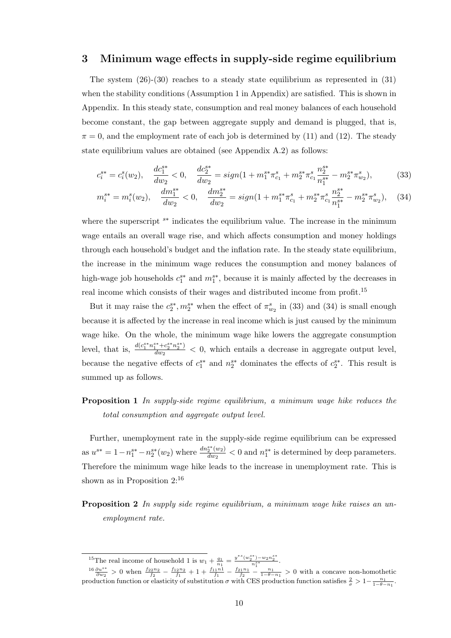## 3 Minimum wage effects in supply-side regime equilibrium

The system  $(26)-(30)$  reaches to a steady state equilibrium as represented in  $(31)$ when the stability conditions (Assumption 1 in Appendix) are satisfied. This is shown in Appendix. In this steady state, consumption and real money balances of each household become constant, the gap between aggregate supply and demand is plugged, that is,  $\pi = 0$ , and the employment rate of each job is determined by (11) and (12). The steady state equilibrium values are obtained (see Appendix A.2) as follows:

$$
c_i^{s*} = c_i^s(w_2), \quad \frac{dc_1^{s*}}{dw_2} < 0, \quad \frac{dc_2^{s*}}{dw_2} = sign(1 + m_1^{s*} \pi_{c_1}^s + m_2^{s*} \pi_{c_1}^s \frac{n_2^{s*}}{n_1^{s*}} - m_2^{s*} \pi_{w_2}^s),\tag{33}
$$

$$
m_i^{s*} = m_i^s(w_2), \quad \frac{dm_1^{s*}}{dw_2} < 0, \quad \frac{dm_2^{s*}}{dw_2} = sign(1 + m_1^{s*} \pi_{c_1}^s + m_2^{s*} \pi_{c_1}^s \frac{n_2^{s*}}{n_1^{s*}} - m_2^{s*} \pi_{w_2}^s), \quad (34)
$$

where the superscript <sup>s\*</sup> indicates the equilibrium value. The increase in the minimum wage entails an overall wage rise, and which affects consumption and money holdings through each household's budget and the inflation rate. In the steady state equilibrium, the increase in the minimum wage reduces the consumption and money balances of high-wage job households  $c_1^{s*}$  and  $m_1^{s*}$ , because it is mainly affected by the decreases in real income which consists of their wages and distributed income from profit.<sup>15</sup>

But it may raise the  $c_2^{s*}, m_2^{s*}$  when the effect of  $\pi_{w_2}^s$  in (33) and (34) is small enough because it is affected by the increase in real income which is just caused by the minimum wage hike. On the whole, the minimum wage hike lowers the aggregate consumption level, that is,  $\frac{d(c_1^{s*}n_1^{s*}+c_2^{s*}n_2^{s*})}{dw_2}$  $\frac{d_1 + d_2}{d w_2}$  < 0, which entails a decrease in aggregate output level, because the negative effects of  $c_1^{s*}$  and  $n_2^{s*}$  dominates the effects of  $c_2^{s*}$ . This result is summed up as follows.

## Proposition 1 *In supply-side regime equilibrium, a minimum wage hike reduces the total consumption and aggregate output level.*

Further, unemployment rate in the supply-side regime equilibrium can be expressed as  $u^{s*} = 1 - n_1^{s*} - n_2^{s*}(w_2)$  where  $\frac{dn_2^{s*}(w_2)}{dw_2}$  $\frac{s^*(w_2)}{dw_2}$  < 0 and  $n_1^{s*}$  is determined by deep parameters. Therefore the minimum wage hike leads to the increase in unemployment rate. This is shown as in Proposition 2:<sup>16</sup>

Proposition 2 *In supply side regime equilibrium, a minimum wage hike raises an unemployment rate.*

<sup>&</sup>lt;sup>15</sup>The real income of household 1 is  $w_1 + \frac{q_1}{n_1} = \frac{y^{*s}(w_2^{s*}) - w_2 n_2^{s*}}{n_1^{s*}}$ .

 $\frac{16 \partial u^{s*}}{\partial w_2} > 0$  when  $\frac{f_{22n_2}}{f_2} - \frac{f_{12n_2}}{f_1} + 1 + \frac{f_{11}n_1}{f_1} - \frac{f_{21}n_1}{f_2} - \frac{1}{1-\theta-n_1} > 0$  with a concave non-homothetic production function or elasticity of substitution  $\sigma$  with CES production function satisfies  $\frac{2}{\sigma} > 1 - \frac{n_1}{1-\theta-n_1}$ .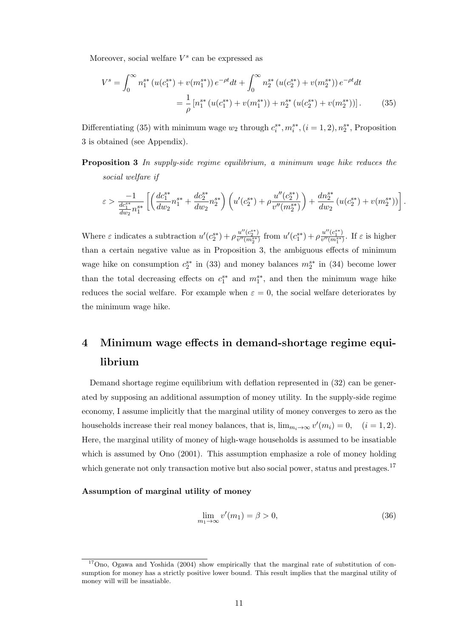Moreover, social welfare  $V^s$  can be expressed as

$$
V^{s} = \int_{0}^{\infty} n_{1}^{s*} \left( u(c_{1}^{s*}) + v(m_{1}^{s*}) \right) e^{-\rho t} dt + \int_{0}^{\infty} n_{2}^{s*} \left( u(c_{2}^{s*}) + v(m_{2}^{s*}) \right) e^{-\rho t} dt
$$

$$
= \frac{1}{\rho} \left[ n_{1}^{s*} \left( u(c_{1}^{s*}) + v(m_{1}^{s*}) \right) + n_{2}^{s*} \left( u(c_{2}^{s*}) + v(m_{2}^{s*}) \right) \right]. \tag{35}
$$

Differentiating (35) with minimum wage  $w_2$  through  $c_i^{s*}, m_i^{s*}, (i = 1, 2), n_2^{s*}$ , Proposition 3 is obtained (see Appendix).

Proposition 3 *In supply-side regime equilibrium, a minimum wage hike reduces the social welfare if*

$$
\varepsilon > \frac{-1}{\frac{dc_1^{s*}}{dw_2}n_1^{s*}} \left[ \left( \frac{dc_1^{s*}}{dw_2} n_1^{s*} + \frac{dc_2^{s*}}{dw_2} n_2^{s*} \right) \left( u'(c_2^{s*}) + \rho \frac{u''(c_2^{s*})}{v''(m_2^{s*})} \right) + \frac{dn_2^{s*}}{dw_2} \left( u(c_2^{s*}) + v(m_2^{s*}) \right) \right].
$$

Where  $\varepsilon$  indicates a subtraction  $u'(c_2^{s*}) + \rho \frac{u''(c_2^{s*})}{v''(m_3^{s*})}$  $\frac{u''(c_2^{s*})}{v''(m_2^{s*})}$  from  $u'(c_1^{s*}) + \rho \frac{u''(c_1^{s*})}{v''(m_1^{s*})}$  $\frac{u^{\alpha} (c_1)}{v^{\prime\prime}(m_1^{s*})}$ . If  $\varepsilon$  is higher than a certain negative value as in Proposition 3, the ambiguous effects of minimum wage hike on consumption  $c_2^{s*}$  in (33) and money balances  $m_2^{s*}$  in (34) become lower than the total decreasing effects on  $c_1^{s*}$  and  $m_1^{s*}$ , and then the minimum wage hike reduces the social welfare. For example when  $\varepsilon = 0$ , the social welfare deteriorates by the minimum wage hike.

# 4 Minimum wage effects in demand-shortage regime equilibrium

Demand shortage regime equilibrium with deflation represented in (32) can be generated by supposing an additional assumption of money utility. In the supply-side regime economy, I assume implicitly that the marginal utility of money converges to zero as the households increase their real money balances, that is,  $\lim_{m_i \to \infty} v'(m_i) = 0$ ,  $(i = 1, 2)$ . Here, the marginal utility of money of high-wage households is assumed to be insatiable which is assumed by Ono (2001). This assumption emphasize a role of money holding which generate not only transaction motive but also social power, status and prestages.<sup>17</sup>

#### Assumption of marginal utility of money

$$
\lim_{m_1 \to \infty} v'(m_1) = \beta > 0,
$$
\n(36)

<sup>&</sup>lt;sup>17</sup>Ono, Ogawa and Yoshida (2004) show empirically that the marginal rate of substitution of consumption for money has a strictly positive lower bound. This result implies that the marginal utility of money will will be insatiable.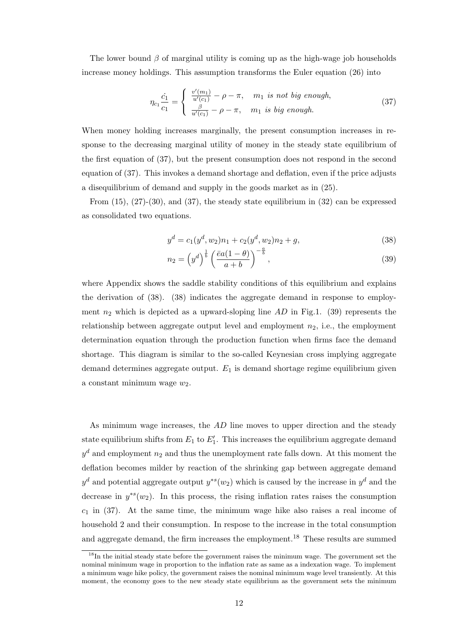The lower bound  $\beta$  of marginal utility is coming up as the high-wage job households increase money holdings. This assumption transforms the Euler equation (26) into

$$
\eta_{c_1} \frac{\dot{c}_1}{c_1} = \begin{cases} \frac{v'(m_1)}{u'(c_1)} - \rho - \pi, & m_1 \text{ is not big enough,} \\ \frac{\beta}{u'(c_1)} - \rho - \pi, & m_1 \text{ is big enough.} \end{cases} \tag{37}
$$

When money holding increases marginally, the present consumption increases in response to the decreasing marginal utility of money in the steady state equilibrium of the first equation of (37), but the present consumption does not respond in the second equation of (37). This invokes a demand shortage and deflation, even if the price adjusts a disequilibrium of demand and supply in the goods market as in (25).

From  $(15)$ ,  $(27)-(30)$ , and  $(37)$ , the steady state equilibrium in  $(32)$  can be expressed as consolidated two equations.

$$
y^{d} = c_{1}(y^{d}, w_{2})n_{1} + c_{2}(y^{d}, w_{2})n_{2} + g,
$$
\n(38)

$$
n_2 = \left(y^d\right)^{\frac{1}{b}} \left(\frac{\bar{e}a(1-\theta)}{a+b}\right)^{-\frac{a}{b}},\tag{39}
$$

where Appendix shows the saddle stability conditions of this equilibrium and explains the derivation of (38). (38) indicates the aggregate demand in response to employment  $n_2$  which is depicted as a upward-sloping line  $AD$  in Fig.1. (39) represents the relationship between aggregate output level and employment  $n_2$ , i.e., the employment determination equation through the production function when firms face the demand shortage. This diagram is similar to the so-called Keynesian cross implying aggregate demand determines aggregate output.  $E_1$  is demand shortage regime equilibrium given a constant minimum wage  $w_2$ .

As minimum wage increases, the AD line moves to upper direction and the steady state equilibrium shifts from  $E_1$  to  $E'_1$ . This increases the equilibrium aggregate demand  $y^d$  and employment  $n_2$  and thus the unemployment rate falls down. At this moment the deflation becomes milder by reaction of the shrinking gap between aggregate demand  $y^d$  and potential aggregate output  $y^{*s}(w_2)$  which is caused by the increase in  $y^d$  and the decrease in  $y^{*s}(w_2)$ . In this process, the rising inflation rates raises the consumption  $c_1$  in (37). At the same time, the minimum wage hike also raises a real income of household 2 and their consumption. In respose to the increase in the total consumption and aggregate demand, the firm increases the employment.<sup>18</sup> These results are summed

<sup>&</sup>lt;sup>18</sup>In the initial steady state before the government raises the minimum wage. The government set the nominal minimum wage in proportion to the inflation rate as same as a indexation wage. To implement a minimum wage hike policy, the government raises the nominal minimum wage level transiently. At this moment, the economy goes to the new steady state equilibrium as the government sets the minimum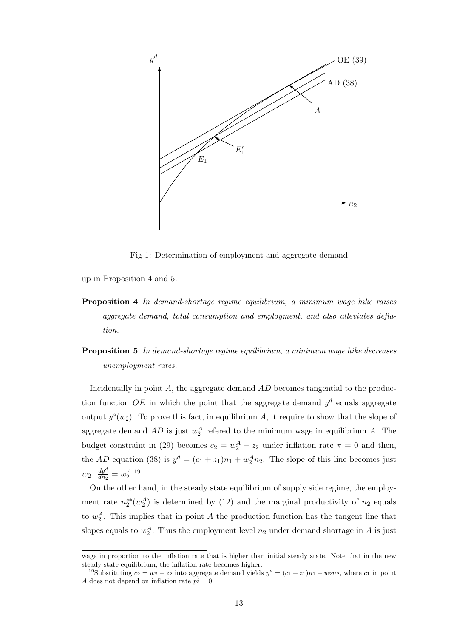

Fig 1: Determination of employment and aggregate demand

up in Proposition 4 and 5.

- Proposition 4 *In demand-shortage regime equilibrium, a minimum wage hike raises aggregate demand, total consumption and employment, and also alleviates deflation.*
- Proposition 5 *In demand-shortage regime equilibrium, a minimum wage hike decreases unemployment rates.*

Incidentally in point A, the aggregate demand AD becomes tangential to the production function OE in which the point that the aggregate demand  $y<sup>d</sup>$  equals aggregate output  $y^{s}(w_2)$ . To prove this fact, in equilibrium A, it require to show that the slope of aggregate demand  $AD$  is just  $w_2^A$  refered to the minimum wage in equilibrium A. The budget constraint in (29) becomes  $c_2 = w_2^A - z_2$  under inflation rate  $\pi = 0$  and then, the AD equation (38) is  $y^d = (c_1 + z_1)n_1 + w_2^A n_2$ . The slope of this line becomes just  $w_2$ .  $\frac{dy^d}{dn_2}$  $\frac{dy^a}{dn_2} = w_2^A.$ <sup>19</sup>

On the other hand, in the steady state equilibrium of supply side regime, the employment rate  $n_2^{s*}(w_2^A)$  is determined by (12) and the marginal productivity of  $n_2$  equals to  $w_2^A$ . This implies that in point A the production function has the tangent line that slopes equals to  $w_2^A$ . Thus the employment level  $n_2$  under demand shortage in A is just

wage in proportion to the inflation rate that is higher than initial steady state. Note that in the new steady state equilibrium, the inflation rate becomes higher.

<sup>&</sup>lt;sup>19</sup>Substituting  $c_2 = w_2 - z_2$  into aggregate demand yields  $y^d = (c_1 + z_1)n_1 + w_2n_2$ , where  $c_1$  in point A does not depend on inflation rate  $pi = 0$ .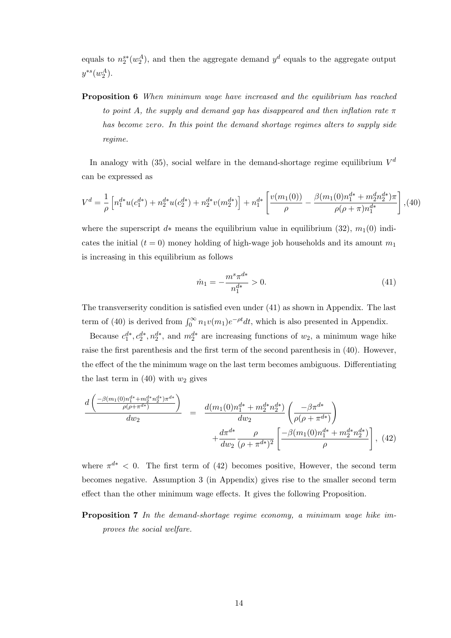equals to  $n_2^{s*}(w_2^A)$ , and then the aggregate demand  $y^d$  equals to the aggregate output  $y^{*s}(w_2^A).$ 

Proposition 6 *When minimum wage have increased and the equilibrium has reached to point* A, the supply and demand gap has disappeared and then inflation rate  $\pi$ *has become* zero*. In this point the demand shortage regimes alters to supply side regime.*

In analogy with  $(35)$ , social welfare in the demand-shortage regime equilibrium  $V^d$ can be expressed as

$$
V^{d} = \frac{1}{\rho} \left[ n_1^{d*} u(c_1^{d*}) + n_2^{d*} u(c_2^{d*}) + n_2^{d*} v(m_2^{d*}) \right] + n_1^{d*} \left[ \frac{v(m_1(0))}{\rho} - \frac{\beta(m_1(0)n_1^{d*} + m_2^d n_2^{d*})\pi}{\rho(\rho + \pi)n_1^{d*}} \right],
$$
(40)

where the superscript d∗ means the equilibrium value in equilibrium (32),  $m_1(0)$  indicates the initial  $(t = 0)$  money holding of high-wage job households and its amount  $m_1$ is increasing in this equilibrium as follows

$$
\dot{m}_1 = -\frac{m^s \pi^{d*}}{n_1^{d*}} > 0.
$$
\n(41)

The transverserity condition is satisfied even under (41) as shown in Appendix. The last term of (40) is derived from  $\int_0^\infty n_1v(m_1)e^{-\rho t}dt$ , which is also presented in Appendix.

Because  $c_1^{d*}, c_2^{d*}, n_2^{d*}$ , and  $m_2^{d*}$  are increasing functions of  $w_2$ , a minimum wage hike raise the first parenthesis and the first term of the second parenthesis in (40). However, the effect of the the minimum wage on the last term becomes ambiguous. Differentiating the last term in (40) with  $w_2$  gives

$$
\frac{d\left(\frac{-\beta(m_1(0)n_1^{d*} + m_2^{d*}n_2^{d*})\pi^{d*}}{\rho(\rho + \pi^{d*})}\right)}{dw_2} = \frac{d(m_1(0)n_1^{d*} + m_2^{d*}n_2^{d*})}{dw_2} \left(\frac{-\beta\pi^{d*}}{\rho(\rho + \pi^{d*})}\right) + \frac{d\pi^{d*}}{dw_2} \frac{\rho}{(\rho + \pi^{d*})^2} \left[\frac{-\beta(m_1(0)n_1^{d*} + m_2^{d*}n_2^{d*})}{\rho}\right], \tag{42}
$$

where  $\pi^{d*}$  < 0. The first term of (42) becomes positive, However, the second term becomes negative. Assumption 3 (in Appendix) gives rise to the smaller second term effect than the other minimum wage effects. It gives the following Proposition.

## Proposition 7 *In the demand-shortage regime economy, a minimum wage hike improves the social welfare.*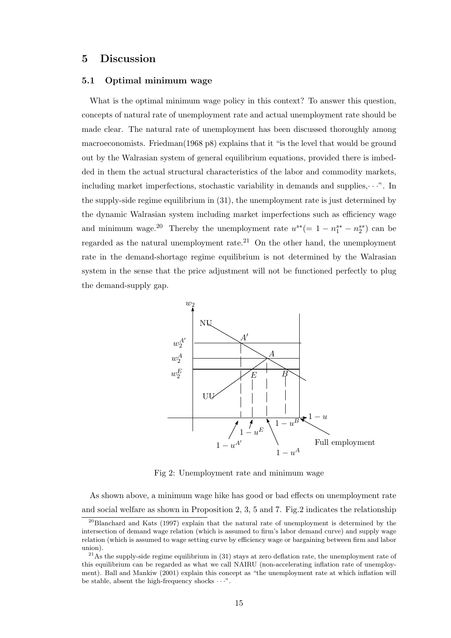## 5 Discussion

#### 5.1 Optimal minimum wage

What is the optimal minimum wage policy in this context? To answer this question, concepts of natural rate of unemployment rate and actual unemployment rate should be made clear. The natural rate of unemployment has been discussed thoroughly among macroeconomists. Friedman(1968 p8) explains that it "is the level that would be ground out by the Walrasian system of general equilibrium equations, provided there is imbedded in them the actual structural characteristics of the labor and commodity markets, including market imperfections, stochastic variability in demands and supplies, $\cdots$ ". In the supply-side regime equilibrium in (31), the unemployment rate is just determined by the dynamic Walrasian system including market imperfections such as efficiency wage and minimum wage.<sup>20</sup> Thereby the unemployment rate  $u^{s*} (= 1 - n_1^{s*} - n_2^{s*})$  can be regarded as the natural unemployment rate.<sup>21</sup> On the other hand, the unemployment rate in the demand-shortage regime equilibrium is not determined by the Walrasian system in the sense that the price adjustment will not be functioned perfectly to plug the demand-supply gap.



Fig 2: Unemployment rate and minimum wage

As shown above, a minimum wage hike has good or bad effects on unemployment rate and social welfare as shown in Proposition 2, 3, 5 and 7. Fig.2 indicates the relationship

<sup>&</sup>lt;sup>20</sup>Blanchard and Kats (1997) explain that the natural rate of unemployment is determined by the intersection of demand wage relation (which is assumed to firm's labor demand curve) and supply wage relation (which is assumed to wage setting curve by efficiency wage or bargaining between firm and labor union).

 $21\text{As}$  the supply-side regime equilibrium in (31) stays at zero deflation rate, the unemployment rate of this equilibrium can be regarded as what we call NAIRU (non-accelerating inflation rate of unemployment). Ball and Mankiw (2001) explain this concept as "the unemployment rate at which inflation will be stable, absent the high-frequency shocks  $\cdots$ ".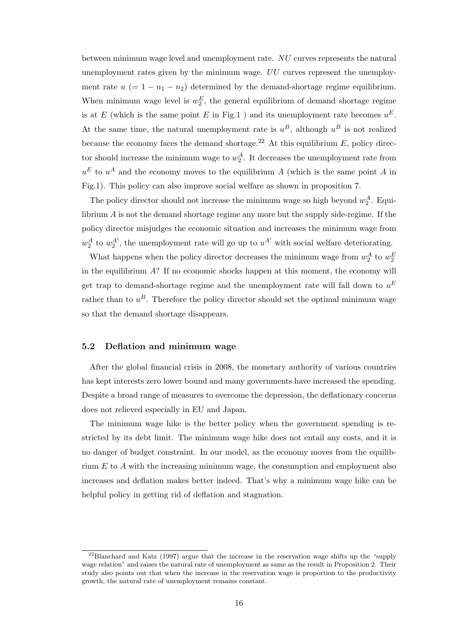between minimum wage level and unemployment rate. NU curves represents the natural unemployment rates given by the minimum wage.  $UU$  curves represent the unemployment rate  $u (= 1 - n_1 - n_2)$  determined by the demand-shortage regime equilibrium. When minimum wage level is  $w_2^E$ , the general equilibrium of demand shortage regime is at E (which is the same point E in Fig.1) and its unemployment rate becomes  $u^E$ . At the same time, the natural unemployment rate is  $u^B$ , although  $u^B$  is not realized because the economy faces the demand shortage.<sup>22</sup> At this equilibrium  $E$ , policy director should increase the minimum wage to  $w_2^A$ . It decreases the unemployment rate from  $u<sup>E</sup>$  to  $u<sup>A</sup>$  and the economy moves to the equilibrium A (which is the same point A in Fig.1). This policy can also improve social welfare as shown in proposition 7.

The policy director should not increase the minimum wage so high beyond  $w_2^A$ . Equilibrium A is not the demand shortage regime any more but the supply side-regime. If the policy director misjudges the economic situation and increases the minimum wage from  $w_2^A$  to  $w_2^{A'}$ , the unemployment rate will go up to  $u^{A'}$  with social welfare deteriorating.

What happens when the policy director decreases the minimum wage from  $w_2^A$  to  $w_2^E$ in the equilibrium  $A$ ? If no economic shocks happen at this moment, the economy will get trap to demand-shortage regime and the unemployment rate will fall down to  $u^E$ rather than to  $u^B$ . Therefore the policy director should set the optimal minimum wage so that the demand shortage disappears.

#### 5.2 Deflation and minimum wage

After the global financial crisis in 2008, the monetary authority of various countries has kept interests zero lower bound and many governments have increased the spending. Despite a broad range of measures to overcome the depression, the deflationary concerns does not relieved especially in EU and Japan.

The minimum wage hike is the better policy when the government spending is restricted by its debt limit. The minimum wage hike does not entail any costs, and it is no danger of budget constraint. In our model, as the economy moves from the equilibrium E to A with the increasing minimum wage, the consumption and employment also increases and deflation makes better indeed. That's why a minimum wage hike can be helpful policy in getting rid of deflation and stagnation.

 $22$ Blanchard and Katz (1997) argue that the increase in the reservation wage shifts up the "supply" wage relation" and raises the natural rate of unemployment as same as the result in Proposition 2. Their study also points out that when the increase in the reservation wage is proportion to the productivity growth, the natural rate of unemployment remains constant.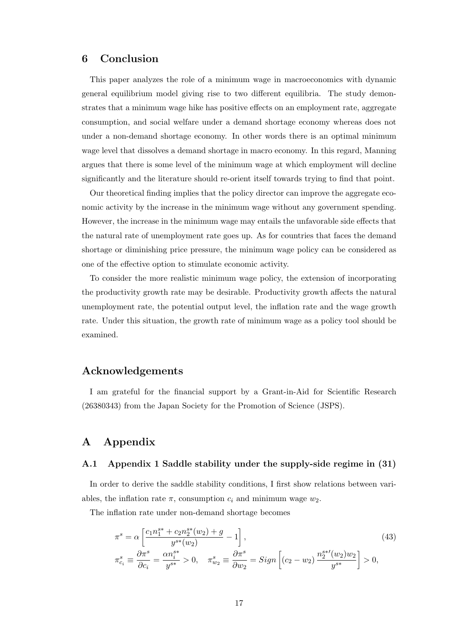## 6 Conclusion

This paper analyzes the role of a minimum wage in macroeconomics with dynamic general equilibrium model giving rise to two different equilibria. The study demonstrates that a minimum wage hike has positive effects on an employment rate, aggregate consumption, and social welfare under a demand shortage economy whereas does not under a non-demand shortage economy. In other words there is an optimal minimum wage level that dissolves a demand shortage in macro economy. In this regard, Manning argues that there is some level of the minimum wage at which employment will decline significantly and the literature should re-orient itself towards trying to find that point.

Our theoretical finding implies that the policy director can improve the aggregate economic activity by the increase in the minimum wage without any government spending. However, the increase in the minimum wage may entails the unfavorable side effects that the natural rate of unemployment rate goes up. As for countries that faces the demand shortage or diminishing price pressure, the minimum wage policy can be considered as one of the effective option to stimulate economic activity.

To consider the more realistic minimum wage policy, the extension of incorporating the productivity growth rate may be desirable. Productivity growth affects the natural unemployment rate, the potential output level, the inflation rate and the wage growth rate. Under this situation, the growth rate of minimum wage as a policy tool should be examined.

## Acknowledgements

I am grateful for the financial support by a Grant-in-Aid for Scientific Research (26380343) from the Japan Society for the Promotion of Science (JSPS).

## A Appendix

## A.1 Appendix 1 Saddle stability under the supply-side regime in (31)

In order to derive the saddle stability conditions, I first show relations between variables, the inflation rate  $\pi$ , consumption  $c_i$  and minimum wage  $w_2$ .

The inflation rate under non-demand shortage becomes

$$
\pi^{s} = \alpha \left[ \frac{c_{1}n_{1}^{s*} + c_{2}n_{2}^{s*}(w_{2}) + g}{y^{s*}(w_{2})} - 1 \right],
$$
\n
$$
\pi^{s}_{c_{i}} \equiv \frac{\partial \pi^{s}}{\partial c_{i}} = \frac{\alpha n_{i}^{s*}}{y^{s*}} > 0, \quad \pi^{s}_{w_{2}} \equiv \frac{\partial \pi^{s}}{\partial w_{2}} = Sign \left[ (c_{2} - w_{2}) \frac{n_{2}^{s*}(w_{2})w_{2}}{y^{s*}} \right] > 0,
$$
\n(43)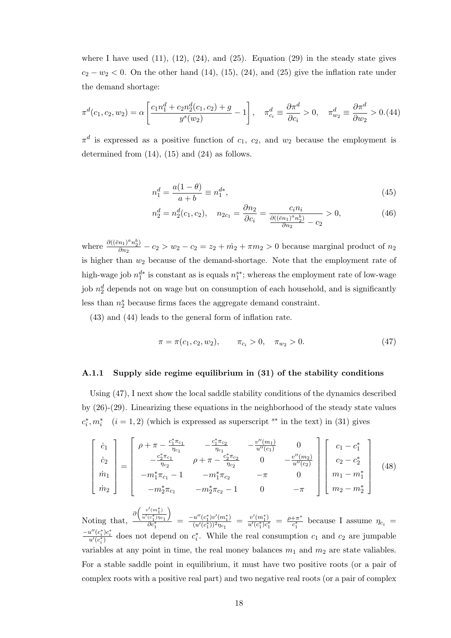where I have used  $(11)$ ,  $(12)$ ,  $(24)$ , and  $(25)$ . Equation  $(29)$  in the steady state gives  $c_2 - w_2 < 0$ . On the other hand (14), (15), (24), and (25) give the inflation rate under the demand shortage:

$$
\pi^d(c_1, c_2, w_2) = \alpha \left[ \frac{c_1 n_1^d + c_2 n_2^d(c_1, c_2) + g}{y^s(w_2)} - 1 \right], \quad \pi^d_{c_i} \equiv \frac{\partial \pi^d}{\partial c_i} > 0, \quad \pi^d_{w_2} \equiv \frac{\partial \pi^d}{\partial w_2} > 0. \tag{44}
$$

 $\pi^d$  is expressed as a positive function of  $c_1$ ,  $c_2$ , and  $w_2$  because the employment is determined from (14), (15) and (24) as follows.

$$
n_1^d = \frac{a(1-\theta)}{a+b} \equiv n_1^{d*},\tag{45}
$$

$$
n_2^d = n_2^d(c_1, c_2), \quad n_{2c_1} = \frac{\partial n_2}{\partial c_i} = \frac{c_i n_i}{\frac{\partial ((\bar{e}n_1)^a n_2^b)}{\partial n_2} - c_2} > 0,
$$
\n(46)

where  $\frac{\partial ((\bar{e}n_1)^a n_2^b)}{\partial n_2}$  $\frac{n_1}{\partial n_2} - n_2 > w_2 - n_2 = z_2 + m_2 + \pi m_2 > 0$  because marginal product of  $n_2$ is higher than  $w_2$  because of the demand-shortage. Note that the employment rate of high-wage job  $n_1^{d*}$  is constant as is equals  $n_1^{s*}$ ; whereas the employment rate of low-wage job  $n_2^d$  depends not on wage but on consumption of each household, and is significantly less than  $n_2^s$  because firms faces the aggregate demand constraint.

(43) and (44) leads to the general form of inflation rate.

$$
\pi = \pi(c_1, c_2, w_2), \qquad \pi_{c_i} > 0, \quad \pi_{w_2} > 0.
$$
\n(47)

#### A.1.1 Supply side regime equilibrium in (31) of the stability conditions

Using (47), I next show the local saddle stability conditions of the dynamics described by (26)-(29). Linearizing these equations in the neighborhood of the steady state values  $c_i^*$  $i, m_i^*$  (*i* = 1, 2) (which is expressed as superscript <sup>s\*</sup> in the text) in (31) gives

$$
\begin{bmatrix}\n\dot{c}_1 \\
\dot{c}_2 \\
\dot{m}_1 \\
\dot{m}_2\n\end{bmatrix} = \begin{bmatrix}\n\rho + \pi - \frac{c_1^* \pi_{c_1}}{\eta_{c_1}} & -\frac{c_1^* \pi_{c_2}}{\eta_{c_1}} & -\frac{v''(m_1)}{u''(c_1)} & 0 \\
-\frac{c_2^* \pi_{c_1}}{\eta_{c_2}} & \rho + \pi - \frac{c_2^* \pi_{c_2}}{\eta_{c_2}} & 0 & -\frac{v''(m_2)}{u''(c_2)} \\
-m_1^* \pi_{c_1} - 1 & -m_1^* \pi_{c_2} & -\pi & 0 \\
-m_2^* \pi_{c_1} & -m_2^* \pi_{c_2} - 1 & 0 & -\pi\n\end{bmatrix} \begin{bmatrix}\nc_1 - c_1^* \\
c_2 - c_2^* \\
m_1 - m_1^* \\
m_2 - m_2^*\n\end{bmatrix}
$$
\n(48)

Noting that,  $\partial\biggl(\frac{v'(m_1^*)}{u'(c_1^*)\eta_{c_1}}$  $\setminus$  $\frac{\overbrace{(\overline{c}_1^*)\eta_{c_1}}}{(\overline{c}_1^*)\eta_{c_1}} = \frac{-u''(\overline{c}_1^*)v'(m_1^*)}{(u'(\overline{c}_1^*))^2\eta_{c_1}} = \frac{v'(m_1^*)}{u'(\overline{c}_1^*)\overline{c}_1^*} = \frac{\rho + \pi^*}{c_1^*}$  $\frac{+\pi}{c_1^*}$  because I assume  $\eta_{c_i}$  =  $\frac{-u''(c_i^*)c_i^*}{u'(c_i^*)}$  does not depend on  $c_i^*$  $i$ . While the real consumption  $c_1$  and  $c_2$  are jumpable variables at any point in time, the real money balances  $m_1$  and  $m_2$  are state valiables. For a stable saddle point in equilibrium, it must have two positive roots (or a pair of complex roots with a positive real part) and two negative real roots (or a pair of complex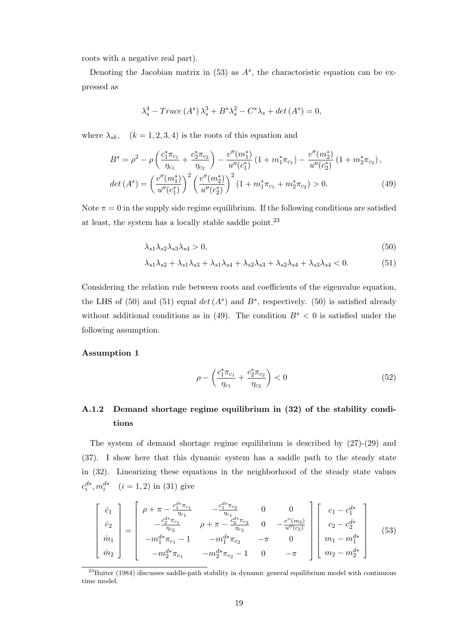roots with a negative real part).

Denoting the Jacobian matrix in  $(53)$  as  $A<sup>s</sup>$ , the charactoristic equation can be expressed as

$$
\lambda_s^4 - Trace\left(A^s\right)\lambda_s^3 + B^s\lambda_s^2 - C^s\lambda_s + \det\left(A^s\right) = 0,
$$

where  $\lambda_{sk}$ ,  $(k = 1, 2, 3, 4)$  is the roots of this equation and

$$
B^{s} = \rho^{2} - \rho \left( \frac{c_{1}^{*} \pi_{c_{1}}}{\eta_{c_{1}}} + \frac{c_{2}^{*} \pi_{c_{2}}}{\eta_{c_{2}}} \right) - \frac{v''(m_{1}^{*})}{u''(c_{1}^{*})} \left( 1 + m_{1}^{*} \pi_{c_{1}} \right) - \frac{v''(m_{2}^{*})}{u''(c_{2}^{*})} \left( 1 + m_{2}^{*} \pi_{c_{2}} \right),
$$
  

$$
det(A^{s}) = \left( \frac{v''(m_{1}^{*})}{u''(c_{1}^{*})} \right)^{2} \left( \frac{v''(m_{2}^{*})}{u''(c_{2}^{*})} \right)^{2} \left( 1 + m_{1}^{*} \pi_{c_{1}} + m_{2}^{*} \pi_{c_{2}} \right) > 0.
$$
 (49)

Note  $\pi = 0$  in the supply side regime equilibrium. If the following conditions are satisfied at least, the system has a locally stable saddle point.  $^{23}$ 

$$
\lambda_{s1}\lambda_{s2}\lambda_{s3}\lambda_{s4} > 0,\tag{50}
$$

$$
\lambda_{s1}\lambda_{s2} + \lambda_{s1}\lambda_{s3} + \lambda_{s1}\lambda_{s4} + \lambda_{s2}\lambda_{s3} + \lambda_{s2}\lambda_{s4} + \lambda_{s3}\lambda_{s4} < 0. \tag{51}
$$

Considering the relation rule between roots and coefficients of the eigenvalue equation, the LHS of (50) and (51) equal  $det(A^s)$  and  $B^s$ , respectively. (50) is satisfied already without additional conditions as in (49). The condition  $B<sup>s</sup> < 0$  is satisfied under the following assumption.

### Assumption 1

$$
\rho - \left(\frac{c_1^* \pi_{c_1}}{\eta_{c_1}} + \frac{c_2^* \pi_{c_2}}{\eta_{c_2}}\right) < 0 \tag{52}
$$

## A.1.2 Demand shortage regime equilibrium in (32) of the stability conditions

The system of demand shortage regime equilibrium is described by  $(27)-(29)$  and (37). I show here that this dynamic system has a saddle path to the steady state in (32). Linearizing these equations in the neighborhood of the steady state values  $c_i^{d*}, m_i^{d*} \quad (i = 1, 2) \text{ in (31) give}$ 

$$
\begin{bmatrix}\n\dot{c}_1 \\
\dot{c}_2 \\
\dot{m}_1 \\
\dot{m}_2\n\end{bmatrix} = \begin{bmatrix}\n\rho + \pi - \frac{c_1^{d*}\pi_{c_1}}{\eta_{c_1}} & -\frac{c_1^{d*}\pi_{c_2}}{\eta_{c_1}} & 0 & 0 \\
-\frac{c_2^{d*}\pi_{c_1}}{\eta_{c_2}} & \rho + \pi - \frac{c_2^{d*}\pi_{c_2}}{\eta_{c_2}} & 0 & -\frac{v'(m_2)}{u''(c_2)} \\
-m_1^{d*}\pi_{c_1} - 1 & -m_1^{d*}\pi_{c_2} & -\pi & 0 \\
-m_2^{d*}\pi_{c_1} & -m_2^{d*}\pi_{c_2} - 1 & 0 & -\pi\n\end{bmatrix} \begin{bmatrix}\nc_1 - c_1^{d*} \\
c_2 - c_2^{d*} \\
m_1 - m_1^{d*} \\
m_2 - m_2^{d*}\n\end{bmatrix}
$$
\n(53)

 $^{23}$ Buiter (1984) discusses saddle-path stability in dynamic general equilibrium model with continuous time model.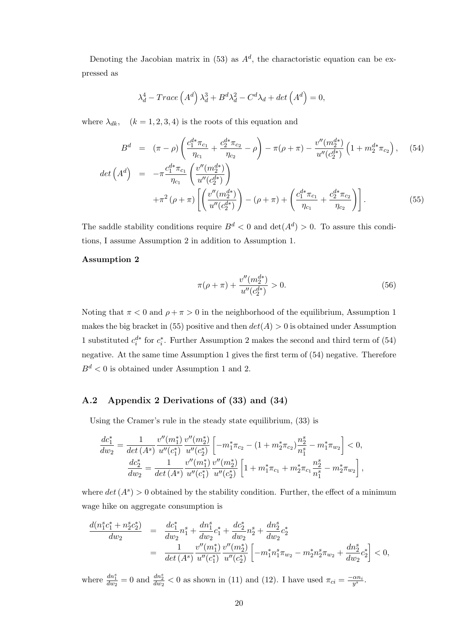Denoting the Jacobian matrix in  $(53)$  as  $A<sup>d</sup>$ , the charactoristic equation can be expressed as

$$
\lambda_d^4 - Trace\left(A^d\right)\lambda_d^3 + B^d\lambda_d^2 - C^d\lambda_d + det\left(A^d\right) = 0,
$$

where  $\lambda_{dk}$ ,  $(k = 1, 2, 3, 4)$  is the roots of this equation and

$$
B^{d} = (\pi - \rho) \left( \frac{c_{1}^{d*} \pi_{c_{1}}}{\eta_{c_{1}}} + \frac{c_{2}^{d*} \pi_{c_{2}}}{\eta_{c_{2}}} - \rho \right) - \pi(\rho + \pi) - \frac{v''(m_{2}^{d*})}{u''(c_{2}^{d*})} \left( 1 + m_{2}^{d*} \pi_{c_{2}} \right), \quad (54)
$$
  

$$
det\left(A^{d}\right) = -\pi \frac{c_{1}^{d*} \pi_{c_{1}}}{\eta_{c_{1}}} \left( \frac{v''(m_{2}^{d*})}{u''(c_{2}^{d*})} \right)
$$

$$
+ \pi^{2}(\rho + \pi) \left[ \left( \frac{v''(m_{2}^{d*})}{u''(c_{2}^{d*})} \right) - (\rho + \pi) + \left( \frac{c_{1}^{d*} \pi_{c_{1}}}{\eta_{c_{1}}} + \frac{c_{2}^{d*} \pi_{c_{2}}}{\eta_{c_{2}}} \right) \right]. \quad (55)
$$

The saddle stability conditions require  $B^d < 0$  and  $\det(A^d) > 0$ . To assure this conditions, I assume Assumption 2 in addition to Assumption 1.

#### Assumption 2

$$
\pi(\rho + \pi) + \frac{v''(m_2^{d*})}{u''(c_2^{d*})} > 0.
$$
\n(56)

Noting that  $\pi < 0$  and  $\rho + \pi > 0$  in the neighborhood of the equilibrium, Assumption 1 makes the big bracket in (55) positive and then  $det(A) > 0$  is obtained under Assumption 1 substituted  $c_i^{d*}$  for  $c_i^*$  $i<sub>i</sub>$ . Further Assumption 2 makes the second and third term of (54) negative. At the same time Assumption 1 gives the first term of (54) negative. Therefore  $B<sup>d</sup> < 0$  is obtained under Assumption 1 and 2.

## A.2 Appendix 2 Derivations of (33) and (34)

Using the Cramer's rule in the steady state equilibrium,  $(33)$  is

$$
\begin{split} \frac{dc_{1}^{*}}{dw_{2}}&=\frac{1}{\det\left(A^{s}\right)}\frac{v''(m_{1}^{*})}{u''(c_{1}^{*})}\frac{v''(m_{2}^{*})}{u''(c_{2}^{*})}\left[-m_{1}^{*}\pi_{c_{2}}-\left(1+m_{2}^{*}\pi_{c_{2}}\right)\frac{n_{2}^{s}}{n_{1}^{s}}-m_{1}^{*}\pi_{w_{2}}\right]<0,\\ \frac{dc_{2}^{*}}{dw_{2}}&=\frac{1}{\det\left(A^{s}\right)}\frac{v''(m_{1}^{*})}{u''(c_{1}^{*})}\frac{v''(m_{2}^{*})}{u''(c_{2}^{*})}\left[1+m_{1}^{*}\pi_{c_{1}}+m_{2}^{*}\pi_{c_{1}}\frac{n_{2}^{s}}{n_{1}^{s}}-m_{2}^{*}\pi_{w_{2}}\right], \end{split}
$$

where  $det(A^s) > 0$  obtained by the stability condition. Further, the effect of a minimum wage hike on aggregate consumption is

$$
\frac{d(n_1^s c_1^* + n_2^s c_2^*)}{dw_2} = \frac{dc_1^*}{dw_2} n_1^s + \frac{dn_1^s}{dw_2} c_1^s + \frac{dc_2^*}{dw_2} n_2^s + \frac{dn_2^s}{dw_2} c_2^*
$$
\n
$$
= \frac{1}{\det(A^s)} \frac{v''(m_1^*)}{u''(c_1^*)} \frac{v''(m_2^*)}{u''(c_2^*)} \left[ -m_1^* n_1^s \pi_{w_2} - m_2^* n_2^s \pi_{w_2} + \frac{dn_2^s}{dw_2} c_2^* \right] < 0,
$$

where  $\frac{dn_1^s}{dw_2} = 0$  and  $\frac{dn_2^s}{dw_2} < 0$  as shown in (11) and (12). I have used  $\pi_{ci} = \frac{-\alpha n_i}{y^s}$ .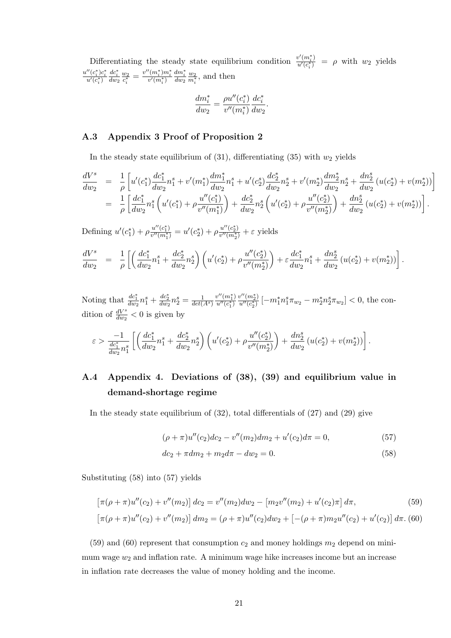Differentiating the steady state equilibrium condition  $\frac{v'(m_i^*)}{u'(c_i^*)} = \rho$  with  $w_2$  yields  $\frac{u^{\prime\prime}(c_{i}^{*})c_{i}^{*}}{u^{\prime}(c_{i}^{*})}$  $rac{dc_i^*}{dw_2}$  $\frac{w_2}{c_i^*} = \frac{v''(m_i^*)m_i^*}{v'(m_i^*)}$  $\frac{dm_i^*}{dw_2}$  $\frac{w_2}{m_i^*}$ , and then

$$
\frac{dm_i^*}{dw_2} = \frac{\rho u''(c_i^*)}{v''(m_i^*)} \frac{dc_i^*}{dw_2}.
$$

## A.3 Appendix 3 Proof of Proposition 2

In the steady state equilibrium of  $(31)$ , differentiating  $(35)$  with  $w_2$  yields

$$
\begin{split} \frac{dV^{s}}{dw_{2}} &= \frac{1}{\rho} \left[ u'(c_{1}^{*}) \frac{dc_{1}^{*}}{dw_{2}} n_{1}^{s} + v'(m_{1}^{*}) \frac{dm_{1}^{*}}{dw_{2}} n_{1}^{s} + u'(c_{2}^{*}) \frac{dc_{2}^{*}}{dw_{2}} n_{2}^{s} + v'(m_{2}^{*}) \frac{dm_{2}^{*}}{dw_{2}} n_{2}^{s} + \frac{dn_{2}^{s}}{dw_{2}} \left( u(c_{2}^{*}) + v(m_{2}^{*}) \right) \right] \\ &= \frac{1}{\rho} \left[ \frac{dc_{1}^{*}}{dw_{2}} n_{1}^{s} \left( u'(c_{1}^{*}) + \rho \frac{u''(c_{1}^{*})}{v''(m_{1}^{*})} \right) + \frac{dc_{2}^{*}}{dw_{2}} n_{2}^{s} \left( u'(c_{2}^{*}) + \rho \frac{u''(c_{2}^{*})}{v''(m_{2}^{*})} \right) + \frac{dn_{2}^{s}}{dw_{2}} \left( u(c_{2}^{*}) + v(m_{2}^{*}) \right) \right]. \end{split}
$$

Defining  $u'(c_1^*)$  $\beta_{1}^{*})+\rho_{v''(m_{1}^{*})}^{u''(c_{1}^{*})}$  $\frac{u''(c_1^*)}{v''(m_1^*)} = u'(c_2^*)$  $(\rho^*_{2}) + \rho \frac{u''(c_2^*)}{v''(m_2^*)}$  $\frac{u^{\prime\prime}(c_2)}{v^{\prime\prime}(m_2^*)} + \varepsilon$  yields

$$
\frac{dV^s}{dw_2} = \frac{1}{\rho} \left[ \left( \frac{dc_1^*}{dw_2} n_1^s + \frac{dc_2^*}{dw_2} n_2^s \right) \left( u'(c_2^*) + \rho \frac{u''(c_2^*)}{v''(m_2^*)} \right) + \varepsilon \frac{dc_1^*}{dw_2} n_1^s + \frac{dn_2^s}{dw_2} \left( u(c_2^*) + v(m_2^*) \right) \right].
$$

Noting that  $\frac{dc_1^*}{dw_2} n_1^s + \frac{dc_2^*}{dw_2} n_2^s = \frac{1}{det(A^s)}$  $\frac{v^{\prime\prime}(m_1^*)}{u^{\prime\prime}(c_1^*)}$  $\frac{v''(m_2^*)}{u''(c_2^*)}$   $[-m_1^*n_1^s\pi_{w_2} - m_2^*n_2^s\pi_{w_2}] < 0$ , the condition of  $\frac{dV^s}{dw_2} < 0$  is given by

$$
\varepsilon > \frac{-1}{\frac{dc^*_1}{dw_2}n_1^s} \left[ \left( \frac{dc^*_1}{dw_2} n_1^s + \frac{dc^*_2}{dw_2} n_2^s \right) \left( u'(c_2^*) + \rho \frac{u''(c_2^*)}{v''(m_2^*)} \right) + \frac{d n_2^s}{dw_2} \left( u(c_2^*) + v(m_2^*) \right) \right].
$$

# A.4 Appendix 4. Deviations of (38), (39) and equilibrium value in demand-shortage regime

In the steady state equilibrium of  $(32)$ , total differentials of  $(27)$  and  $(29)$  give

$$
(\rho + \pi)u''(c_2)dc_2 - v''(m_2)dm_2 + u'(c_2)d\pi = 0,
$$
\n(57)

$$
dc_2 + \pi dm_2 + m_2 d\pi - dw_2 = 0.
$$
\n(58)

Substituting (58) into (57) yields

$$
\left[\pi(\rho+\pi)u''(c_2) + v''(m_2)\right]dc_2 = v''(m_2)dw_2 - \left[m_2v''(m_2) + u'(c_2)\pi\right]d\pi,
$$
\n(59)

$$
\left[\pi(\rho+\pi)u''(c_2) + v''(m_2)\right]dm_2 = (\rho+\pi)u''(c_2)dw_2 + \left[-(\rho+\pi)m_2u''(c_2) + u'(c_2)\right]d\pi.
$$
 (60)

(59) and (60) represent that consumption  $c_2$  and money holdings  $m_2$  depend on minimum wage  $w_2$  and inflation rate. A minimum wage hike increases income but an increase in inflation rate decreases the value of money holding and the income.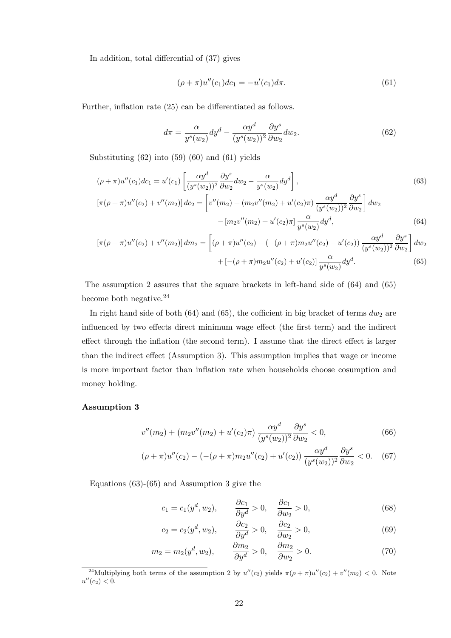In addition, total differential of (37) gives

$$
(\rho + \pi)u''(c_1)dc_1 = -u'(c_1)d\pi.
$$
\n(61)

Further, inflation rate (25) can be differentiated as follows.

$$
d\pi = \frac{\alpha}{y^s(w_2)} dy^d - \frac{\alpha y^d}{(y^s(w_2))^2} \frac{\partial y^s}{\partial w_2} dw_2.
$$
 (62)

Substituting (62) into (59) (60) and (61) yields

$$
(\rho + \pi)u''(c_1)dc_1 = u'(c_1) \left[ \frac{\alpha y^d}{(y^s(w_2))^2} \frac{\partial y^s}{\partial w_2} dw_2 - \frac{\alpha}{y^s(w_2)} dy^d \right],
$$
\n
$$
[\pi(\rho + \pi)u''(c_2) + v''(m_2)]dc_2 = \left[ v''(m_2) + (m_2v''(m_2) + u'(c_2)\pi) \frac{\alpha y^d}{(y^s(w_2))^2} \frac{\partial y^s}{\partial w_2} \right] dw_2
$$
\n
$$
- [m_2v''(m_2) + u'(c_2)\pi] \frac{\alpha}{y^s(w_2)} dy^d,
$$
\n(64)

$$
[\pi(\rho + \pi)u''(c_2) + v''(m_2)]dm_2 = \left[ (\rho + \pi)u''(c_2) - (-(\rho + \pi)m_2u''(c_2) + u'(c_2)) \frac{\alpha y^d}{(y^s(w_2))^2} \frac{\partial y^s}{\partial w_2} \right] dw_2
$$
  
 
$$
+ [-(\rho + \pi)m_2u''(c_2) + u'(c_2)] \frac{\alpha}{y^s(w_2)} dy^d.
$$
 (65)

The assumption 2 assures that the square brackets in left-hand side of (64) and (65) become both negative.<sup>24</sup>

In right hand side of both (64) and (65), the cofficient in big bracket of terms  $dw_2$  are influenced by two effects direct minimum wage effect (the first term) and the indirect effect through the inflation (the second term). I assume that the direct effect is larger than the indirect effect (Assumption 3). This assumption implies that wage or income is more important factor than inflation rate when households choose cosumption and money holding.

#### Assumption 3

$$
v''(m_2) + (m_2v''(m_2) + u'(c_2)\pi) \frac{\alpha y^d}{(y^s(w_2))^2} \frac{\partial y^s}{\partial w_2} < 0,\tag{66}
$$

$$
(\rho + \pi)u''(c_2) - (-(\rho + \pi)m_2u''(c_2) + u'(c_2))\frac{\alpha y^d}{(y^s(w_2))^2}\frac{\partial y^s}{\partial w_2} < 0. \quad (67)
$$

Equations (63)-(65) and Assumption 3 give the

$$
c_1 = c_1(y^d, w_2), \qquad \frac{\partial c_1}{\partial y^d} > 0, \quad \frac{\partial c_1}{\partial w_2} > 0,
$$
\n
$$
(68)
$$

$$
c_2 = c_2(y^d, w_2), \qquad \frac{\partial c_2}{\partial y^d} > 0, \quad \frac{\partial c_2}{\partial w_2} > 0,
$$
\n
$$
(69)
$$

$$
m_2 = m_2(y^d, w_2), \qquad \frac{\partial m_2}{\partial y^d} > 0, \quad \frac{\partial m_2}{\partial w_2} > 0.
$$
 (70)

<sup>&</sup>lt;sup>24</sup>Multiplying both terms of the assumption 2 by  $u''(c_2)$  yields  $\pi(\rho + \pi)u''(c_2) + v''(m_2) < 0$ . Note  $u''(c_2) < 0.$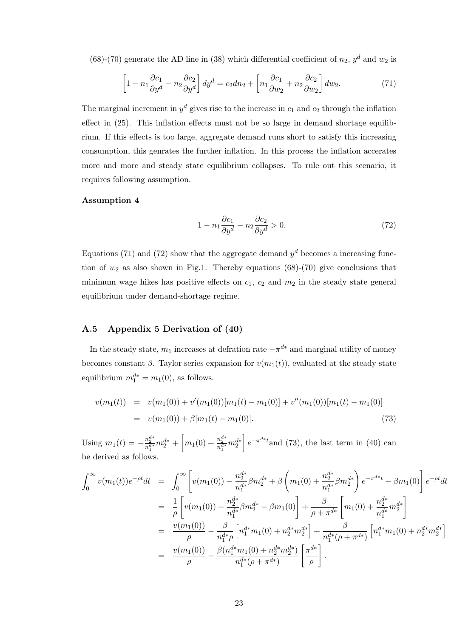(68)-(70) generate the AD line in (38) which differential coefficient of  $n_2$ ,  $y<sup>d</sup>$  and  $w_2$  is

$$
\left[1 - n_1 \frac{\partial c_1}{\partial y^d} - n_2 \frac{\partial c_2}{\partial y^d}\right] dy^d = c_2 dn_2 + \left[n_1 \frac{\partial c_1}{\partial w_2} + n_2 \frac{\partial c_2}{\partial w_2}\right] dw_2.
$$
 (71)

The marginal increment in  $y^d$  gives rise to the increase in  $c_1$  and  $c_2$  through the inflation effect in (25). This inflation effects must not be so large in demand shortage equilibrium. If this effects is too large, aggregate demand runs short to satisfy this increasing consumption, this genrates the further inflation. In this process the inflation accerates more and more and steady state equilibrium collapses. To rule out this scenario, it requires following assumption.

### Assumption 4

$$
1 - n_1 \frac{\partial c_1}{\partial y^d} - n_2 \frac{\partial c_2}{\partial y^d} > 0.
$$
 (72)

Equations (71) and (72) show that the aggregate demand  $y<sup>d</sup>$  becomes a increasing function of  $w_2$  as also shown in Fig.1. Thereby equations (68)-(70) give conclusions that minimum wage hikes has positive effects on  $c_1$ ,  $c_2$  and  $m_2$  in the steady state general equilibrium under demand-shortage regime.

## A.5 Appendix 5 Derivation of (40)

In the steady state,  $m_1$  increases at defration rate  $-\pi^{d*}$  and marginal utility of money becomes constant  $\beta$ . Taylor series expansion for  $v(m_1(t))$ , evaluated at the steady state equilibrium  $m_1^{d*} = m_1(0)$ , as follows.

$$
v(m_1(t)) = v(m_1(0)) + v'(m_1(0))[m_1(t) - m_1(0)] + v''(m_1(0))[m_1(t) - m_1(0)]
$$
  
= 
$$
v(m_1(0)) + \beta[m_1(t) - m_1(0)].
$$
 (73)

Using  $m_1(t) = -\frac{n_2^{d*}}{n_1^{d*}} m_2^{d*} + \left[m_1(0) + \frac{n_2^{d*}}{n_1^{d*}} m_2^{d*}\right]$  $\left[e^{-\pi^{d*}t}$  and (73), the last term in (40) can be derived as follows.

$$
\int_0^\infty v(m_1(t))e^{-\rho t}dt = \int_0^\infty \left[ v(m_1(0)) - \frac{n_2^{d*}}{n_1^{d*}} \beta m_2^{d*} + \beta \left( m_1(0) + \frac{n_2^{d*}}{n_1^{d*}} \beta m_2^{d*} \right) e^{-\pi^{d*} t} - \beta m_1(0) \right] e^{-\rho t}dt
$$
  
\n
$$
= \frac{1}{\rho} \left[ v(m_1(0)) - \frac{n_2^{d*}}{n_1^{d*}} \beta m_2^{d*} - \beta m_1(0) \right] + \frac{\beta}{\rho + \pi^{d*}} \left[ m_1(0) + \frac{n_2^{d*}}{n_1^{d*}} m_2^{d*} \right]
$$
  
\n
$$
= \frac{v(m_1(0))}{\rho} - \frac{\beta}{n_1^{d*}\rho} \left[ n_1^{d*} m_1(0) + n_2^{d*} m_2^{d*} \right] + \frac{\beta}{n_1^{d*}(\rho + \pi^{d*})} \left[ n_1^{d*} m_1(0) + n_2^{d*} m_2^{d*} \right]
$$
  
\n
$$
= \frac{v(m_1(0))}{\rho} - \frac{\beta (n_1^{d*} m_1(0) + n_2^{d*} m_2^{d*})}{n_1^{d*}(\rho + \pi^{d*})} \left[ \frac{\pi^{d*}}{\rho} \right].
$$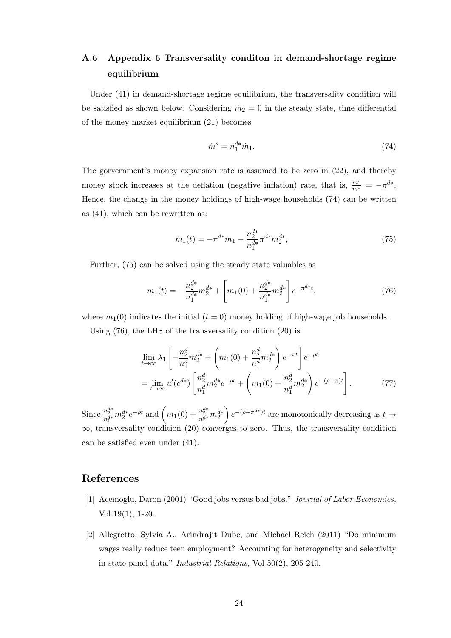# A.6 Appendix 6 Transversality conditon in demand-shortage regime equilibrium

Under (41) in demand-shortage regime equilibrium, the transversality condition will be satisfied as shown below. Considering  $\dot{m}_2 = 0$  in the steady state, time differential of the money market equilibrium (21) becomes

$$
\dot{m}^s = n_1^{d*} \dot{m}_1. \tag{74}
$$

The gorvernment's money expansion rate is assumed to be zero in (22), and thereby money stock increases at the deflation (negative inflation) rate, that is,  $\frac{\dot{m}^s}{m^s} = -\pi^{d*}$ . Hence, the change in the money holdings of high-wage households (74) can be written as (41), which can be rewritten as:

$$
\dot{m}_1(t) = -\pi^{d*} m_1 - \frac{n_2^{d*}}{n_1^{d*}} \pi^{d*} m_2^{d*},\tag{75}
$$

Further, (75) can be solved using the steady state valuables as

$$
m_1(t) = -\frac{n_2^{d*}}{n_1^{d*}} m_2^{d*} + \left[ m_1(0) + \frac{n_2^{d*}}{n_1^{d*}} m_2^{d*} \right] e^{-\pi^{d*}t},\tag{76}
$$

where  $m_1(0)$  indicates the initial  $(t = 0)$  money holding of high-wage job households.

Using (76), the LHS of the transversality condition (20) is

$$
\lim_{t \to \infty} \lambda_1 \left[ -\frac{n_2^d}{n_1^d} m_2^{d*} + \left( m_1(0) + \frac{n_2^d}{n_1^d} m_2^{d*} \right) e^{-\pi t} \right] e^{-\rho t}
$$
\n
$$
= \lim_{t \to \infty} u'(c_1^{d*}) \left[ \frac{n_2^d}{n_1^d} m_2^{d*} e^{-\rho t} + \left( m_1(0) + \frac{n_2^d}{n_1^d} m_2^{d*} \right) e^{-(\rho + \pi)t} \right]. \tag{77}
$$

Since  $\frac{n_2^{d*}}{n_1^{d*}} m_2^{d*} e^{-\rho t}$  and  $\left(m_1(0) + \frac{n_2^{d*}}{n_1^{d*}} m_2^{d*}\right)$  $\Big\}\,e^{-(\rho+\pi^{d*})t}$  are monotonically decreasing as  $t\to$  $\infty$ , transversality condition (20) converges to zero. Thus, the transversality condition can be satisfied even under (41).

## References

- [1] Acemoglu, Daron (2001) "Good jobs versus bad jobs." *Journal of Labor Economics,* Vol 19(1), 1-20.
- [2] Allegretto, Sylvia A., Arindrajit Dube, and Michael Reich (2011) "Do minimum wages really reduce teen employment? Accounting for heterogeneity and selectivity in state panel data." *Industrial Relations,* Vol 50(2), 205-240.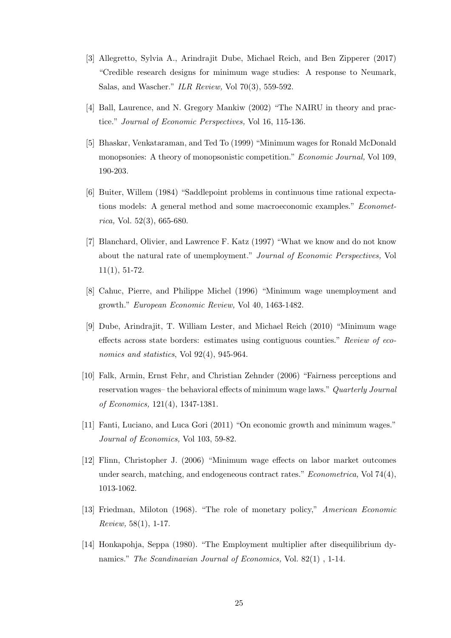- [3] Allegretto, Sylvia A., Arindrajit Dube, Michael Reich, and Ben Zipperer (2017) "Credible research designs for minimum wage studies: A response to Neumark, Salas, and Wascher." *ILR Review,* Vol 70(3), 559-592.
- [4] Ball, Laurence, and N. Gregory Mankiw (2002) "The NAIRU in theory and practice." *Journal of Economic Perspectives,* Vol 16, 115-136.
- [5] Bhaskar, Venkataraman, and Ted To (1999) "Minimum wages for Ronald McDonald monopsonies: A theory of monopsonistic competition." *Economic Journal,* Vol 109, 190-203.
- [6] Buiter, Willem (1984) "Saddlepoint problems in continuous time rational expectations models: A general method and some macroeconomic examples." *Econometrica,* Vol. 52(3), 665-680.
- [7] Blanchard, Olivier, and Lawrence F. Katz (1997) "What we know and do not know about the natural rate of unemployment." *Journal of Economic Perspectives,* Vol 11(1), 51-72.
- [8] Cahuc, Pierre, and Philippe Michel (1996) "Minimum wage unemployment and growth." *European Economic Review,* Vol 40, 1463-1482.
- [9] Dube, Arindrajit, T. William Lester, and Michael Reich (2010) "Minimum wage effects across state borders: estimates using contiguous counties." *Review of economics and statistics*, Vol 92(4), 945-964.
- [10] Falk, Armin, Ernst Fehr, and Christian Zehnder (2006) "Fairness perceptions and reservation wages– the behavioral effects of minimum wage laws." *Quarterly Journal of Economics,* 121(4), 1347-1381.
- [11] Fanti, Luciano, and Luca Gori (2011) "On economic growth and minimum wages." *Journal of Economics,* Vol 103, 59-82.
- [12] Flinn, Christopher J. (2006) "Minimum wage effects on labor market outcomes under search, matching, and endogeneous contract rates." *Econometrica,* Vol 74(4), 1013-1062.
- [13] Friedman, Miloton (1968). "The role of monetary policy," *American Economic Review,* 58(1), 1-17.
- [14] Honkapohja, Seppa (1980). "The Employment multiplier after disequilibrium dynamics." *The Scandinavian Journal of Economics,* Vol. 82(1) , 1-14.